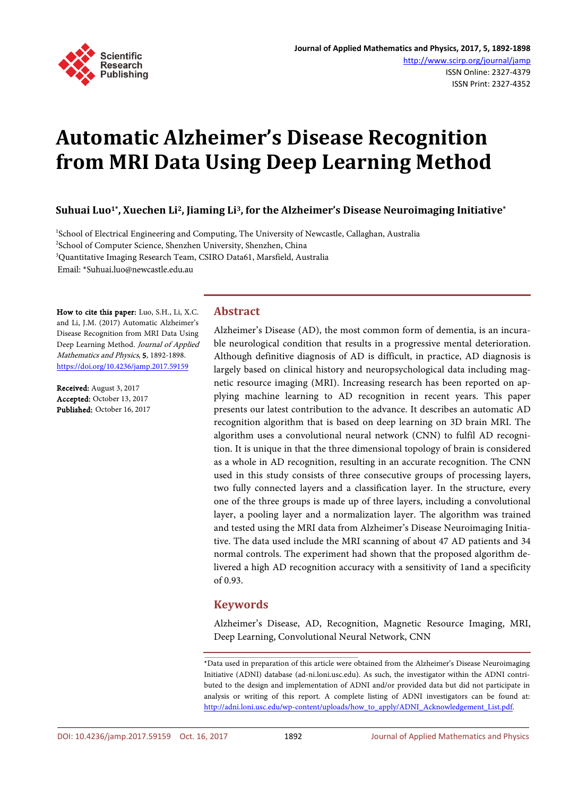

# **Automatic Alzheimer's Disease Recognition from MRI Data Using Deep Learning Method**

**Suhuai Luo1\*, Xuechen Li2, Jiaming Li3, for the Alzheimer's Disease Neuroimaging Initiative\***

<sup>1</sup>School of Electrical Engineering and Computing, The University of Newcastle, Callaghan, Australia 2 School of Computer Science, Shenzhen University, Shenzhen, China 3 Quantitative Imaging Research Team, CSIRO Data61, Marsfield, Australia

Email: \*Suhuai.luo@newcastle.edu.au

How to cite this paper: Luo, S.H., Li, X.C. and Li, J.M. (2017) Automatic Alzheimer's Disease Recognition from MRI Data Using Deep Learning Method. Journal of Applied Mathematics and Physics, 5, 1892-1898. <https://doi.org/10.4236/jamp.2017.59159>

Received: August 3, 2017 Accepted: October 13, 2017 Published: October 16, 2017

# **Abstract**

Alzheimer's Disease (AD), the most common form of dementia, is an incurable neurological condition that results in a progressive mental deterioration. Although definitive diagnosis of AD is difficult, in practice, AD diagnosis is largely based on clinical history and neuropsychological data including magnetic resource imaging (MRI). Increasing research has been reported on applying machine learning to AD recognition in recent years. This paper presents our latest contribution to the advance. It describes an automatic AD recognition algorithm that is based on deep learning on 3D brain MRI. The algorithm uses a convolutional neural network (CNN) to fulfil AD recognition. It is unique in that the three dimensional topology of brain is considered as a whole in AD recognition, resulting in an accurate recognition. The CNN used in this study consists of three consecutive groups of processing layers, two fully connected layers and a classification layer. In the structure, every one of the three groups is made up of three layers, including a convolutional layer, a pooling layer and a normalization layer. The algorithm was trained and tested using the MRI data from Alzheimer's Disease Neuroimaging Initiative. The data used include the MRI scanning of about 47 AD patients and 34 normal controls. The experiment had shown that the proposed algorithm delivered a high AD recognition accuracy with a sensitivity of 1and a specificity of 0.93.

# **Keywords**

Alzheimer's Disease, AD, Recognition, Magnetic Resource Imaging, MRI, Deep Learning, Convolutional Neural Network, CNN

<sup>\*</sup>Data used in preparation of this article were obtained from the Alzheimer's Disease Neuroimaging Initiative (ADNI) database (ad-ni.loni.usc.edu). As such, the investigator within the ADNI contributed to the design and implementation of ADNI and/or provided data but did not participate in analysis or writing of this report. A complete listing of ADNI investigators can be found at: [http://adni.loni.usc.edu/wp-content/uploads/how\\_to\\_apply/ADNI\\_Acknowledgement\\_List.pdf.](http://adni.loni.usc.edu/wp-content/uploads/how_to_apply/ADNI_Acknowledgement_List.pdf)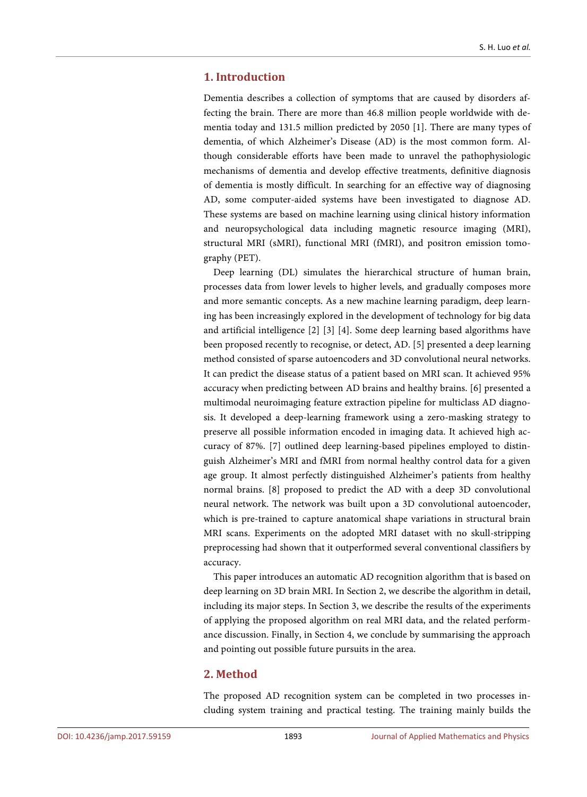# **1. Introduction**

Dementia describes a collection of symptoms that are caused by disorders affecting the brain. There are more than 46.8 million people worldwide with dementia today and 131.5 million predicted by 2050 [1]. There are many types of dementia, of which Alzheimer's Disease (AD) is the most common form. Although considerable efforts have been made to unravel the pathophysiologic mechanisms of dementia and develop effective treatments, definitive diagnosis of dementia is mostly difficult. In searching for an effective way of diagnosing AD, some computer-aided systems have been investigated to diagnose AD. These systems are based on machine learning using clinical history information and neuropsychological data including magnetic resource imaging (MRI), structural MRI (sMRI), functional MRI (fMRI), and positron emission tomography (PET).

Deep learning (DL) simulates the hierarchical structure of human brain, processes data from lower levels to higher levels, and gradually composes more and more semantic concepts. As a new machine learning paradigm, deep learning has been increasingly explored in the development of technology for big data and artificial intelligence [2] [3] [4]. Some deep learning based algorithms have been proposed recently to recognise, or detect, AD. [5] presented a deep learning method consisted of sparse autoencoders and 3D convolutional neural networks. It can predict the disease status of a patient based on MRI scan. It achieved 95% accuracy when predicting between AD brains and healthy brains. [6] presented a multimodal neuroimaging feature extraction pipeline for multiclass AD diagnosis. It developed a deep-learning framework using a zero-masking strategy to preserve all possible information encoded in imaging data. It achieved high accuracy of 87%. [7] outlined deep learning-based pipelines employed to distinguish Alzheimer's MRI and fMRI from normal healthy control data for a given age group. It almost perfectly distinguished Alzheimer's patients from healthy normal brains. [8] proposed to predict the AD with a deep 3D convolutional neural network. The network was built upon a 3D convolutional autoencoder, which is pre-trained to capture anatomical shape variations in structural brain MRI scans. Experiments on the adopted MRI dataset with no skull-stripping preprocessing had shown that it outperformed several conventional classifiers by accuracy.

This paper introduces an automatic AD recognition algorithm that is based on deep learning on 3D brain MRI. In Section 2, we describe the algorithm in detail, including its major steps. In Section 3, we describe the results of the experiments of applying the proposed algorithm on real MRI data, and the related performance discussion. Finally, in Section 4, we conclude by summarising the approach and pointing out possible future pursuits in the area.

## **2. Method**

The proposed AD recognition system can be completed in two processes including system training and practical testing. The training mainly builds the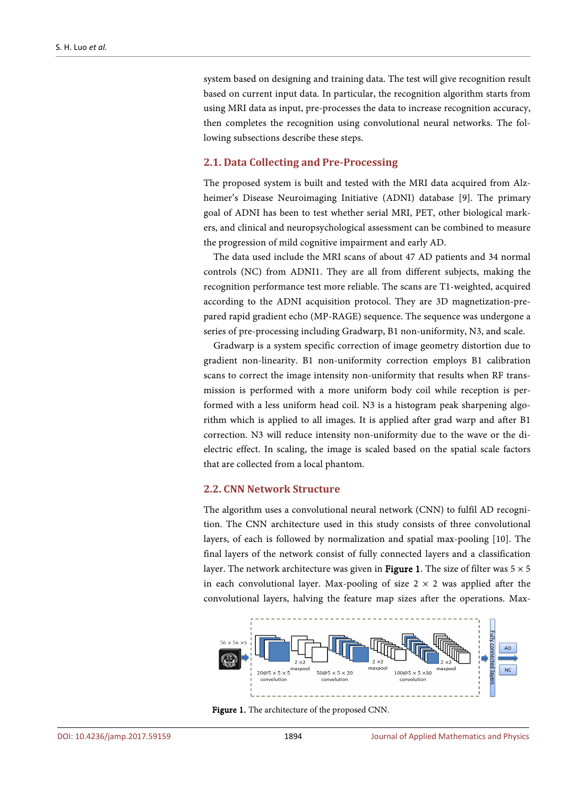system based on designing and training data. The test will give recognition result based on current input data. In particular, the recognition algorithm starts from using MRI data as input, pre-processes the data to increase recognition accuracy, then completes the recognition using convolutional neural networks. The following subsections describe these steps.

## **2.1. Data Collecting and Pre-Processing**

The proposed system is built and tested with the MRI data acquired from Alzheimer's Disease Neuroimaging Initiative (ADNI) database [9]. The primary goal of ADNI has been to test whether serial MRI, PET, other biological markers, and clinical and neuropsychological assessment can be combined to measure the progression of mild cognitive impairment and early AD.

The data used include the MRI scans of about 47 AD patients and 34 normal controls (NC) from ADNI1. They are all from different subjects, making the recognition performance test more reliable. The scans are T1-weighted, acquired according to the ADNI acquisition protocol. They are 3D magnetization-prepared rapid gradient echo (MP-RAGE) sequence. The sequence was undergone a series of pre-processing including Gradwarp, B1 non-uniformity, N3, and scale.

Gradwarp is a system specific correction of image geometry distortion due to gradient non-linearity. B1 non-uniformity correction employs B1 calibration scans to correct the image intensity non-uniformity that results when RF transmission is performed with a more uniform body coil while reception is performed with a less uniform head coil. N3 is a histogram peak sharpening algorithm which is applied to all images. It is applied after grad warp and after B1 correction. N3 will reduce intensity non-uniformity due to the wave or the dielectric effect. In scaling, the image is scaled based on the spatial scale factors that are collected from a local phantom.

## **2.2. CNN Network Structure**

The algorithm uses a convolutional neural network (CNN) to fulfil AD recognition. The CNN architecture used in this study consists of three convolutional layers, of each is followed by normalization and spatial max-pooling [10]. The final layers of the network consist of fully connected layers and a classification layer. The network architecture was given in **Figure 1**. The size of filter was  $5 \times 5$ in each convolutional layer. Max-pooling of size  $2 \times 2$  was applied after the convolutional layers, halving the feature map sizes after the operations. Max-



Figure 1. The architecture of the proposed CNN.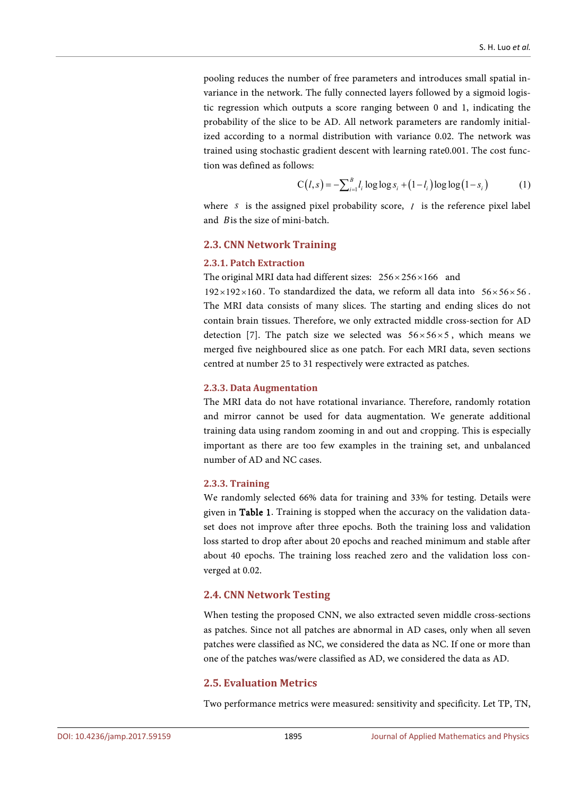pooling reduces the number of free parameters and introduces small spatial invariance in the network. The fully connected layers followed by a sigmoid logistic regression which outputs a score ranging between 0 and 1, indicating the probability of the slice to be AD. All network parameters are randomly initialized according to a normal distribution with variance 0.02. The network was trained using stochastic gradient descent with learning rate0.001. The cost function was defined as follows:

$$
C(l,s) = -\sum_{i=1}^{B} l_i \log \log s_i + (1 - l_i) \log \log (1 - s_i)
$$
 (1)

where *s* is the assigned pixel probability score, *l* is the reference pixel label and Bis the size of mini-batch.

#### **2.3. CNN Network Training**

#### **2.3.1. Patch Extraction**

The original MRI data had different sizes:  $256 \times 256 \times 166$  and

 $192 \times 192 \times 160$ . To standardized the data, we reform all data into  $56 \times 56 \times 56$ . The MRI data consists of many slices. The starting and ending slices do not contain brain tissues. Therefore, we only extracted middle cross-section for AD detection [7]. The patch size we selected was  $56 \times 56 \times 5$ , which means we merged five neighboured slice as one patch. For each MRI data, seven sections centred at number 25 to 31 respectively were extracted as patches.

#### **2.3.3. Data Augmentation**

The MRI data do not have rotational invariance. Therefore, randomly rotation and mirror cannot be used for data augmentation. We generate additional training data using random zooming in and out and cropping. This is especially important as there are too few examples in the training set, and unbalanced number of AD and NC cases.

#### **2.3.3. Training**

We randomly selected 66% data for training and 33% for testing. Details were given in Table 1. Training is stopped when the accuracy on the validation dataset does not improve after three epochs. Both the training loss and validation loss started to drop after about 20 epochs and reached minimum and stable after about 40 epochs. The training loss reached zero and the validation loss converged at 0.02.

#### **2.4. CNN Network Testing**

When testing the proposed CNN, we also extracted seven middle cross-sections as patches. Since not all patches are abnormal in AD cases, only when all seven patches were classified as NC, we considered the data as NC. If one or more than one of the patches was/were classified as AD, we considered the data as AD.

### **2.5. Evaluation Metrics**

Two performance metrics were measured: sensitivity and specificity. Let TP, TN,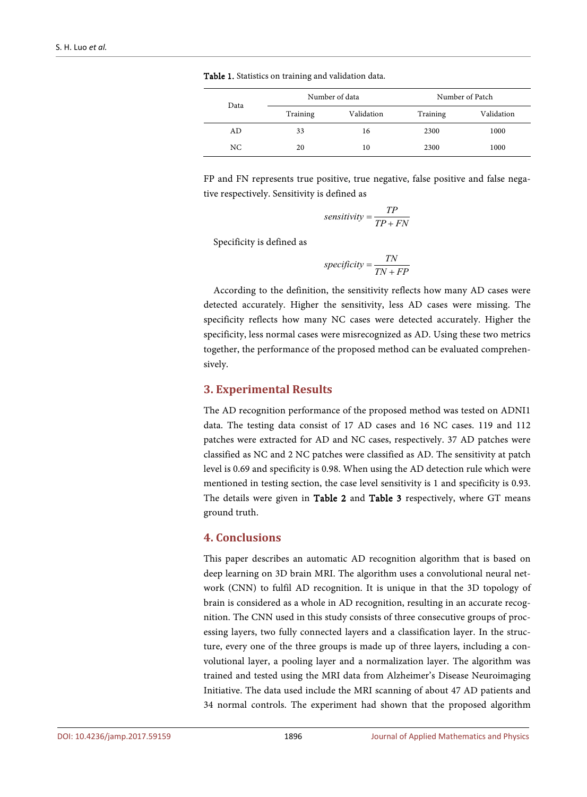| Data | Number of data |            | Number of Patch |            |
|------|----------------|------------|-----------------|------------|
|      | Training       | Validation | Training        | Validation |
| AD.  | 33             | 16         | 2300            | 1000       |
| NC.  | 20             | 10         | 2300            | 1000       |

Table 1. Statistics on training and validation data.

FP and FN represents true positive, true negative, false positive and false negative respectively. Sensitivity is defined as

$$
sensitivity = \frac{TP}{TP + FN}
$$

Specificity is defined as

$$
specificity = \frac{TN}{TN + FP}
$$

According to the definition, the sensitivity reflects how many AD cases were detected accurately. Higher the sensitivity, less AD cases were missing. The specificity reflects how many NC cases were detected accurately. Higher the specificity, less normal cases were misrecognized as AD. Using these two metrics together, the performance of the proposed method can be evaluated comprehensively.

## **3. Experimental Results**

The AD recognition performance of the proposed method was tested on ADNI1 data. The testing data consist of 17 AD cases and 16 NC cases. 119 and 112 patches were extracted for AD and NC cases, respectively. 37 AD patches were classified as NC and 2 NC patches were classified as AD. The sensitivity at patch level is 0.69 and specificity is 0.98. When using the AD detection rule which were mentioned in testing section, the case level sensitivity is 1 and specificity is 0.93. The details were given in Table 2 and Table 3 respectively, where GT means ground truth.

## **4. Conclusions**

This paper describes an automatic AD recognition algorithm that is based on deep learning on 3D brain MRI. The algorithm uses a convolutional neural network (CNN) to fulfil AD recognition. It is unique in that the 3D topology of brain is considered as a whole in AD recognition, resulting in an accurate recognition. The CNN used in this study consists of three consecutive groups of processing layers, two fully connected layers and a classification layer. In the structure, every one of the three groups is made up of three layers, including a convolutional layer, a pooling layer and a normalization layer. The algorithm was trained and tested using the MRI data from Alzheimer's Disease Neuroimaging Initiative. The data used include the MRI scanning of about 47 AD patients and 34 normal controls. The experiment had shown that the proposed algorithm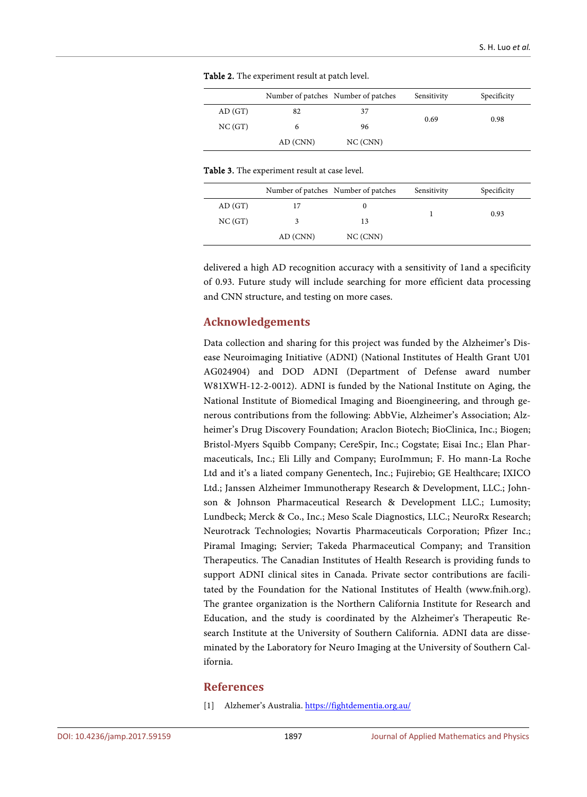|        |          | Number of patches Number of patches | Sensitivity | Specificity |
|--------|----------|-------------------------------------|-------------|-------------|
| AD(GT) | 82       | 37                                  | 0.69        | 0.98        |
| NC(GT) | 6        | 96                                  |             |             |
|        | AD (CNN) | NC (CNN)                            |             |             |

Table 2. The experiment result at patch level.

Table 3. The experiment result at case level.

|        |          | Number of patches Number of patches | Sensitivity | Specificity |
|--------|----------|-------------------------------------|-------------|-------------|
| AD(GT) |          | U                                   |             | 0.93        |
| NC(GT) |          | 13                                  |             |             |
|        | AD (CNN) | NC (CNN)                            |             |             |

delivered a high AD recognition accuracy with a sensitivity of 1and a specificity of 0.93. Future study will include searching for more efficient data processing and CNN structure, and testing on more cases.

## **Acknowledgements**

Data collection and sharing for this project was funded by the Alzheimer's Disease Neuroimaging Initiative (ADNI) (National Institutes of Health Grant U01 AG024904) and DOD ADNI (Department of Defense award number W81XWH-12-2-0012). ADNI is funded by the National Institute on Aging, the National Institute of Biomedical Imaging and Bioengineering, and through generous contributions from the following: AbbVie, Alzheimer's Association; Alzheimer's Drug Discovery Foundation; Araclon Biotech; BioClinica, Inc.; Biogen; Bristol-Myers Squibb Company; CereSpir, Inc.; Cogstate; Eisai Inc.; Elan Pharmaceuticals, Inc.; Eli Lilly and Company; EuroImmun; F. Ho mann-La Roche Ltd and it's a liated company Genentech, Inc.; Fujirebio; GE Healthcare; IXICO Ltd.; Janssen Alzheimer Immunotherapy Research & Development, LLC.; Johnson & Johnson Pharmaceutical Research & Development LLC.; Lumosity; Lundbeck; Merck & Co., Inc.; Meso Scale Diagnostics, LLC.; NeuroRx Research; Neurotrack Technologies; Novartis Pharmaceuticals Corporation; Pfizer Inc.; Piramal Imaging; Servier; Takeda Pharmaceutical Company; and Transition Therapeutics. The Canadian Institutes of Health Research is providing funds to support ADNI clinical sites in Canada. Private sector contributions are facilitated by the Foundation for the National Institutes of Health (www.fnih.org). The grantee organization is the Northern California Institute for Research and Education, and the study is coordinated by the Alzheimer's Therapeutic Research Institute at the University of Southern California. ADNI data are disseminated by the Laboratory for Neuro Imaging at the University of Southern California.

## **References**

[1] Alzhemer's Australia. <https://fightdementia.org.au/>